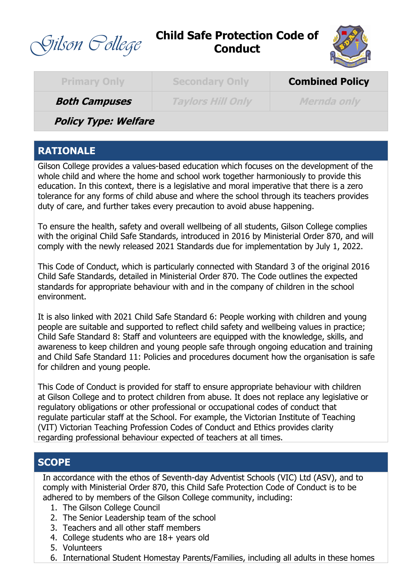

# **Child Safe Protection Code of Conduct**



| <b>Primary Only</b>  | <b>Secondary Only</b>    | <b>Combined Policy</b> |
|----------------------|--------------------------|------------------------|
| <b>Both Campuses</b> | <b>Taylors Hill Only</b> | Mernda only            |

**Policy Type: Welfare**

# **RATIONALE**

Gilson College provides a values-based education which focuses on the development of the whole child and where the home and school work together harmoniously to provide this education. In this context, there is a legislative and moral imperative that there is a zero tolerance for any forms of child abuse and where the school through its teachers provides duty of care, and further takes every precaution to avoid abuse happening.

To ensure the health, safety and overall wellbeing of all students, Gilson College complies with the original Child Safe Standards, introduced in 2016 by Ministerial Order 870, and will comply with the newly released 2021 Standards due for implementation by July 1, 2022.

This Code of Conduct, which is particularly connected with Standard 3 of the original 2016 Child Safe Standards, detailed in Ministerial Order 870. The Code outlines the expected standards for appropriate behaviour with and in the company of children in the school environment.

It is also linked with 2021 Child Safe Standard 6: People working with children and young people are suitable and supported to reflect child safety and wellbeing values in practice; Child Safe Standard 8: Staff and volunteers are equipped with the knowledge, skills, and awareness to keep children and young people safe through ongoing education and training and Child Safe Standard 11: Policies and procedures document how the organisation is safe for children and young people.

This Code of Conduct is provided for staff to ensure appropriate behaviour with children at Gilson College and to protect children from abuse. It does not replace any legislative or regulatory obligations or other professional or occupational codes of conduct that regulate particular staff at the School. For example, the Victorian Institute of Teaching (VIT) Victorian Teaching Profession Codes of Conduct and Ethics provides clarity regarding professional behaviour expected of teachers at all times.

# **SCOPE**

In accordance with the ethos of Seventh-day Adventist Schools (VIC) Ltd (ASV), and to comply with Ministerial Order 870, this Child Safe Protection Code of Conduct is to be adhered to by members of the Gilson College community, including:

- 1. The Gilson College Council
- 2. The Senior Leadership team of the school
- 3. Teachers and all other staff members
- 4. College students who are 18+ years old
- 5. Volunteers
- 6. International Student Homestay Parents/Families, including all adults in these homes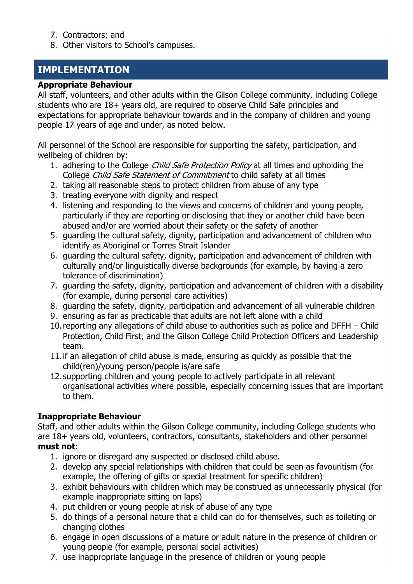- 7. Contractors; and
- 8. Other visitors to School's campuses.

# **IMPLEMENTATION**

### **Appropriate Behaviour**

All staff, volunteers, and other adults within the Gilson College community, including College students who are 18+ years old, are required to observe Child Safe principles and expectations for appropriate behaviour towards and in the company of children and young people 17 years of age and under, as noted below.

All personnel of the School are responsible for supporting the safety, participation, and wellbeing of children by:

- 1. adhering to the College Child Safe Protection Policy at all times and upholding the College Child Safe Statement of Commitment to child safety at all times
- 2. taking all reasonable steps to protect children from abuse of any type
- 3. treating everyone with dignity and respect
- 4. listening and responding to the views and concerns of children and young people, particularly if they are reporting or disclosing that they or another child have been abused and/or are worried about their safety or the safety of another
- 5. guarding the cultural safety, dignity, participation and advancement of children who identify as Aboriginal or Torres Strait Islander
- 6. guarding the cultural safety, dignity, participation and advancement of children with culturally and/or linguistically diverse backgrounds (for example, by having a zero tolerance of discrimination)
- 7. guarding the safety, dignity, participation and advancement of children with a disability (for example, during personal care activities)
- 8. guarding the safety, dignity, participation and advancement of all vulnerable children
- 9. ensuring as far as practicable that adults are not left alone with a child
- 10.reporting any allegations of child abuse to authorities such as police and DFFH Child Protection, Child First, and the Gilson College Child Protection Officers and Leadership team.
- 11.if an allegation of child abuse is made, ensuring as quickly as possible that the child(ren)/young person/people is/are safe
- 12.supporting children and young people to actively participate in all relevant organisational activities where possible, especially concerning issues that are important to them.

# **Inappropriate Behaviour**

Staff, and other adults within the Gilson College community, including College students who are 18+ years old, volunteers, contractors, consultants, stakeholders and other personnel **must not**:

- 1. ignore or disregard any suspected or disclosed child abuse.
- 2. develop any special relationships with children that could be seen as favouritism (for example, the offering of gifts or special treatment for specific children)
- 3. exhibit behaviours with children which may be construed as unnecessarily physical (for example inappropriate sitting on laps)
- 4. put children or young people at risk of abuse of any type
- 5. do things of a personal nature that a child can do for themselves, such as toileting or changing clothes
- 6. engage in open discussions of a mature or adult nature in the presence of children or young people (for example, personal social activities)
- 7. use inappropriate language in the presence of children or young people